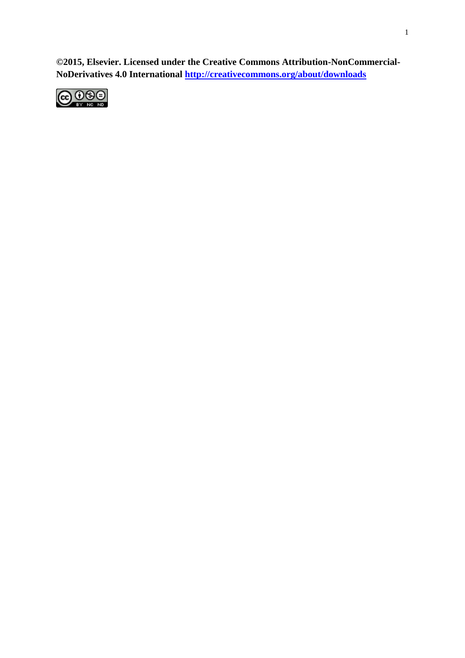**©2015, Elsevier. Licensed under the Creative Commons Attribution-NonCommercial-NoDerivatives 4.0 International<http://creativecommons.org/about/downloads>**

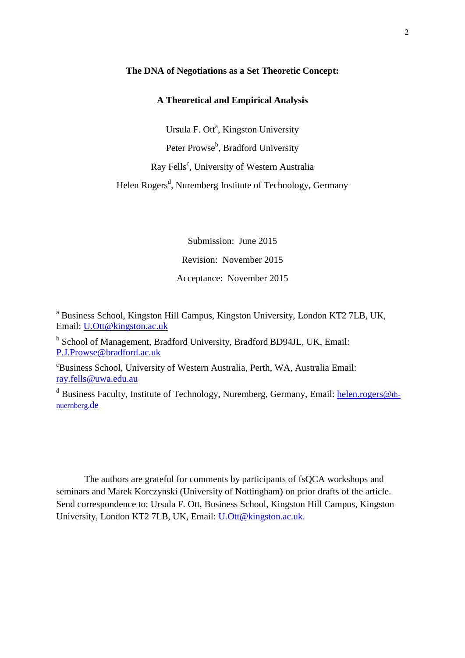#### **The DNA of Negotiations as a Set Theoretic Concept:**

## **A Theoretical and Empirical Analysis**

Ursula F. Ott<sup>a</sup>, Kingston University Peter Prowse<sup>b</sup>, Bradford University Ray Fells<sup>c</sup>, University of Western Australia Helen Rogers<sup>d</sup>, Nuremberg Institute of Technology, Germany

> Submission: June 2015 Revision: November 2015 Acceptance: November 2015

<sup>a</sup> Business School, Kingston Hill Campus, Kingston University, London KT2 7LB, UK, Email: [U.Ott@kingston.ac.uk](mailto:U.Ott@kingston.ac.uk)

<sup>b</sup> School of Management, Bradford University, Bradford BD94JL, UK, Email: [P.J.Prowse@bradford.ac.uk](mailto:P.J.Prowse@bradford.ac.uk)

<sup>c</sup>Business School, University of Western Australia, Perth, WA, Australia Email: [ray.fells@uwa.edu.au](mailto:ray.fells@uwa.edu.au)

<sup>d</sup> Business Faculty, Institute of Technology, Nuremberg, Germany, Email: [helen.rogers@](mailto:helen.rogers@th-nuernberg.de)th[nuernberg.](mailto:helen.rogers@th-nuernberg.de)de

The authors are grateful for comments by participants of fsQCA workshops and seminars and Marek Korczynski (University of Nottingham) on prior drafts of the article. Send correspondence to: Ursula F. Ott, Business School, Kingston Hill Campus, Kingston University, London KT2 7LB, UK, Email: [U.Ott@kingston.ac.uk.](mailto:U.Ott@kingston.ac.uk)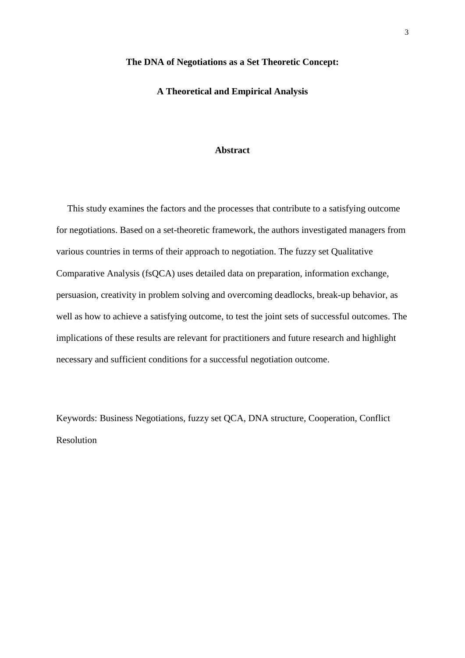#### **The DNA of Negotiations as a Set Theoretic Concept:**

## **A Theoretical and Empirical Analysis**

#### **Abstract**

This study examines the factors and the processes that contribute to a satisfying outcome for negotiations. Based on a set-theoretic framework, the authors investigated managers from various countries in terms of their approach to negotiation. The fuzzy set Qualitative Comparative Analysis (fsQCA) uses detailed data on preparation, information exchange, persuasion, creativity in problem solving and overcoming deadlocks, break-up behavior, as well as how to achieve a satisfying outcome, to test the joint sets of successful outcomes. The implications of these results are relevant for practitioners and future research and highlight necessary and sufficient conditions for a successful negotiation outcome.

Keywords: Business Negotiations, fuzzy set QCA, DNA structure, Cooperation, Conflict Resolution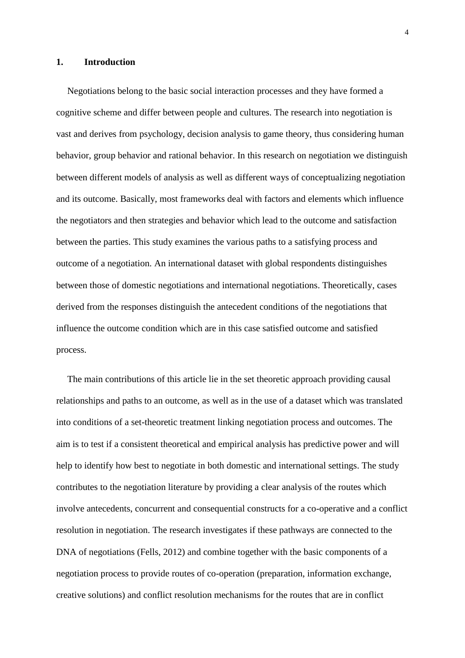#### **1. Introduction**

Negotiations belong to the basic social interaction processes and they have formed a cognitive scheme and differ between people and cultures. The research into negotiation is vast and derives from psychology, decision analysis to game theory, thus considering human behavior, group behavior and rational behavior. In this research on negotiation we distinguish between different models of analysis as well as different ways of conceptualizing negotiation and its outcome. Basically, most frameworks deal with factors and elements which influence the negotiators and then strategies and behavior which lead to the outcome and satisfaction between the parties. This study examines the various paths to a satisfying process and outcome of a negotiation. An international dataset with global respondents distinguishes between those of domestic negotiations and international negotiations. Theoretically, cases derived from the responses distinguish the antecedent conditions of the negotiations that influence the outcome condition which are in this case satisfied outcome and satisfied process.

The main contributions of this article lie in the set theoretic approach providing causal relationships and paths to an outcome, as well as in the use of a dataset which was translated into conditions of a set-theoretic treatment linking negotiation process and outcomes. The aim is to test if a consistent theoretical and empirical analysis has predictive power and will help to identify how best to negotiate in both domestic and international settings. The study contributes to the negotiation literature by providing a clear analysis of the routes which involve antecedents, concurrent and consequential constructs for a co-operative and a conflict resolution in negotiation. The research investigates if these pathways are connected to the DNA of negotiations (Fells, 2012) and combine together with the basic components of a negotiation process to provide routes of co-operation (preparation, information exchange, creative solutions) and conflict resolution mechanisms for the routes that are in conflict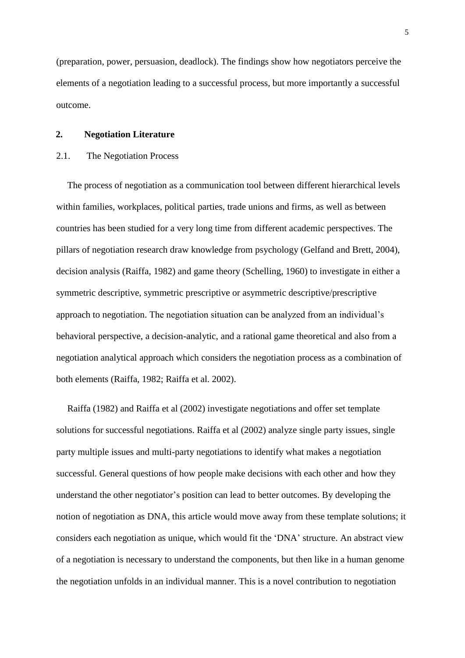(preparation, power, persuasion, deadlock). The findings show how negotiators perceive the elements of a negotiation leading to a successful process, but more importantly a successful outcome.

## **2. Negotiation Literature**

#### 2.1. The Negotiation Process

The process of negotiation as a communication tool between different hierarchical levels within families, workplaces, political parties, trade unions and firms, as well as between countries has been studied for a very long time from different academic perspectives. The pillars of negotiation research draw knowledge from psychology (Gelfand and Brett, 2004), decision analysis (Raiffa, 1982) and game theory (Schelling, 1960) to investigate in either a symmetric descriptive, symmetric prescriptive or asymmetric descriptive/prescriptive approach to negotiation. The negotiation situation can be analyzed from an individual's behavioral perspective, a decision-analytic, and a rational game theoretical and also from a negotiation analytical approach which considers the negotiation process as a combination of both elements (Raiffa, 1982; Raiffa et al. 2002).

Raiffa (1982) and Raiffa et al (2002) investigate negotiations and offer set template solutions for successful negotiations. Raiffa et al (2002) analyze single party issues, single party multiple issues and multi-party negotiations to identify what makes a negotiation successful. General questions of how people make decisions with each other and how they understand the other negotiator's position can lead to better outcomes. By developing the notion of negotiation as DNA, this article would move away from these template solutions; it considers each negotiation as unique, which would fit the 'DNA' structure. An abstract view of a negotiation is necessary to understand the components, but then like in a human genome the negotiation unfolds in an individual manner. This is a novel contribution to negotiation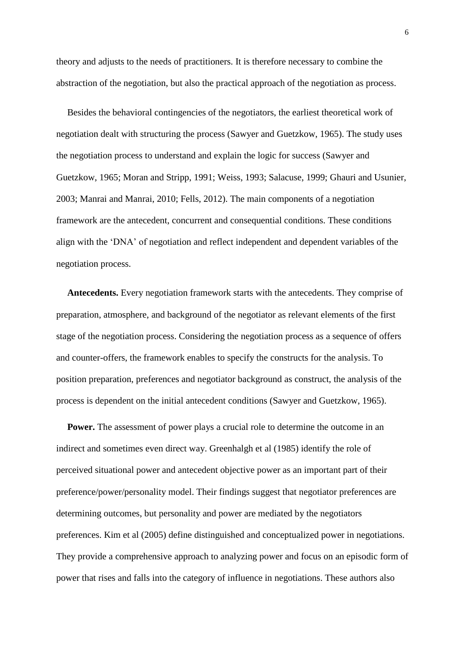theory and adjusts to the needs of practitioners. It is therefore necessary to combine the abstraction of the negotiation, but also the practical approach of the negotiation as process.

Besides the behavioral contingencies of the negotiators, the earliest theoretical work of negotiation dealt with structuring the process (Sawyer and Guetzkow, 1965). The study uses the negotiation process to understand and explain the logic for success (Sawyer and Guetzkow, 1965; Moran and Stripp, 1991; Weiss, 1993; Salacuse, 1999; Ghauri and Usunier, 2003; Manrai and Manrai, 2010; Fells, 2012). The main components of a negotiation framework are the antecedent, concurrent and consequential conditions. These conditions align with the 'DNA' of negotiation and reflect independent and dependent variables of the negotiation process.

**Antecedents.** Every negotiation framework starts with the antecedents. They comprise of preparation, atmosphere, and background of the negotiator as relevant elements of the first stage of the negotiation process. Considering the negotiation process as a sequence of offers and counter-offers, the framework enables to specify the constructs for the analysis. To position preparation, preferences and negotiator background as construct, the analysis of the process is dependent on the initial antecedent conditions (Sawyer and Guetzkow, 1965).

**Power.** The assessment of power plays a crucial role to determine the outcome in an indirect and sometimes even direct way. Greenhalgh et al (1985) identify the role of perceived situational power and antecedent objective power as an important part of their preference/power/personality model. Their findings suggest that negotiator preferences are determining outcomes, but personality and power are mediated by the negotiators preferences. Kim et al (2005) define distinguished and conceptualized power in negotiations. They provide a comprehensive approach to analyzing power and focus on an episodic form of power that rises and falls into the category of influence in negotiations. These authors also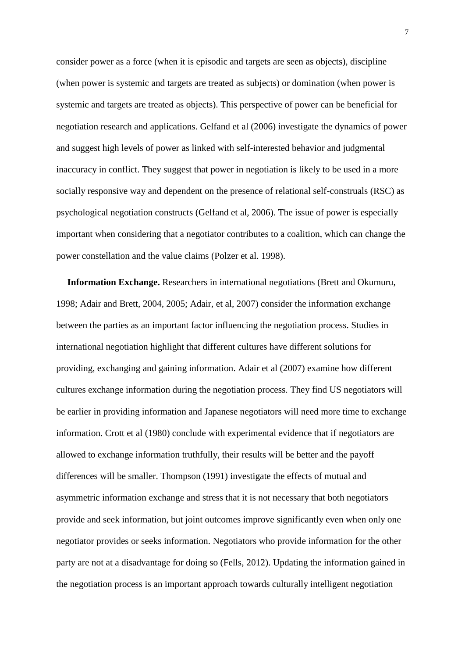consider power as a force (when it is episodic and targets are seen as objects), discipline (when power is systemic and targets are treated as subjects) or domination (when power is systemic and targets are treated as objects). This perspective of power can be beneficial for negotiation research and applications. Gelfand et al (2006) investigate the dynamics of power and suggest high levels of power as linked with self-interested behavior and judgmental inaccuracy in conflict. They suggest that power in negotiation is likely to be used in a more socially responsive way and dependent on the presence of relational self-construals (RSC) as psychological negotiation constructs (Gelfand et al, 2006). The issue of power is especially important when considering that a negotiator contributes to a coalition, which can change the power constellation and the value claims (Polzer et al. 1998).

**Information Exchange.** Researchers in international negotiations (Brett and Okumuru, 1998; Adair and Brett, 2004, 2005; Adair, et al, 2007) consider the information exchange between the parties as an important factor influencing the negotiation process. Studies in international negotiation highlight that different cultures have different solutions for providing, exchanging and gaining information. Adair et al (2007) examine how different cultures exchange information during the negotiation process. They find US negotiators will be earlier in providing information and Japanese negotiators will need more time to exchange information. Crott et al (1980) conclude with experimental evidence that if negotiators are allowed to exchange information truthfully, their results will be better and the payoff differences will be smaller. Thompson (1991) investigate the effects of mutual and asymmetric information exchange and stress that it is not necessary that both negotiators provide and seek information, but joint outcomes improve significantly even when only one negotiator provides or seeks information. Negotiators who provide information for the other party are not at a disadvantage for doing so (Fells, 2012). Updating the information gained in the negotiation process is an important approach towards culturally intelligent negotiation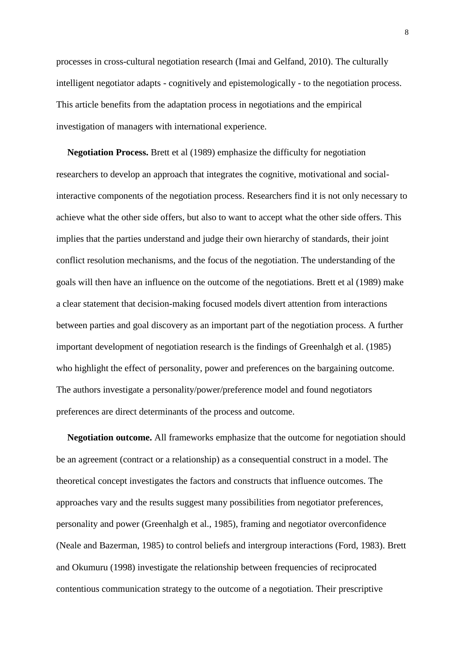processes in cross-cultural negotiation research (Imai and Gelfand, 2010). The culturally intelligent negotiator adapts - cognitively and epistemologically - to the negotiation process. This article benefits from the adaptation process in negotiations and the empirical investigation of managers with international experience.

**Negotiation Process.** Brett et al (1989) emphasize the difficulty for negotiation researchers to develop an approach that integrates the cognitive, motivational and socialinteractive components of the negotiation process. Researchers find it is not only necessary to achieve what the other side offers, but also to want to accept what the other side offers. This implies that the parties understand and judge their own hierarchy of standards, their joint conflict resolution mechanisms, and the focus of the negotiation. The understanding of the goals will then have an influence on the outcome of the negotiations. Brett et al (1989) make a clear statement that decision-making focused models divert attention from interactions between parties and goal discovery as an important part of the negotiation process. A further important development of negotiation research is the findings of Greenhalgh et al. (1985) who highlight the effect of personality, power and preferences on the bargaining outcome. The authors investigate a personality/power/preference model and found negotiators preferences are direct determinants of the process and outcome.

**Negotiation outcome.** All frameworks emphasize that the outcome for negotiation should be an agreement (contract or a relationship) as a consequential construct in a model. The theoretical concept investigates the factors and constructs that influence outcomes. The approaches vary and the results suggest many possibilities from negotiator preferences, personality and power (Greenhalgh et al., 1985), framing and negotiator overconfidence (Neale and Bazerman, 1985) to control beliefs and intergroup interactions (Ford, 1983). Brett and Okumuru (1998) investigate the relationship between frequencies of reciprocated contentious communication strategy to the outcome of a negotiation. Their prescriptive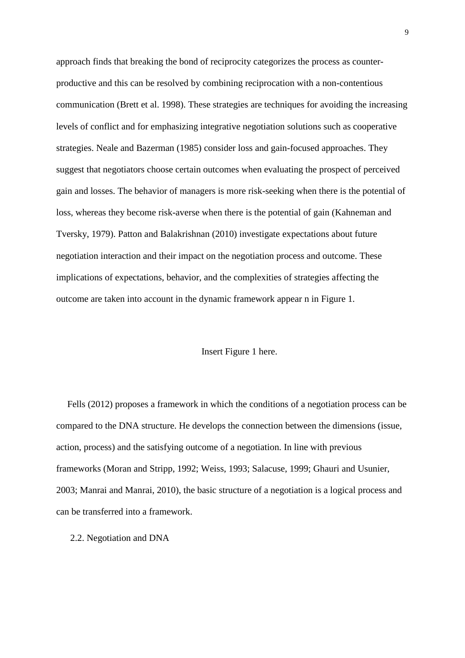approach finds that breaking the bond of reciprocity categorizes the process as counterproductive and this can be resolved by combining reciprocation with a non-contentious communication (Brett et al. 1998). These strategies are techniques for avoiding the increasing levels of conflict and for emphasizing integrative negotiation solutions such as cooperative strategies. Neale and Bazerman (1985) consider loss and gain-focused approaches. They suggest that negotiators choose certain outcomes when evaluating the prospect of perceived gain and losses. The behavior of managers is more risk-seeking when there is the potential of loss, whereas they become risk-averse when there is the potential of gain (Kahneman and Tversky, 1979). Patton and Balakrishnan (2010) investigate expectations about future negotiation interaction and their impact on the negotiation process and outcome. These implications of expectations, behavior, and the complexities of strategies affecting the outcome are taken into account in the dynamic framework appear n in Figure 1.

#### Insert Figure 1 here.

Fells (2012) proposes a framework in which the conditions of a negotiation process can be compared to the DNA structure. He develops the connection between the dimensions (issue, action, process) and the satisfying outcome of a negotiation. In line with previous frameworks (Moran and Stripp, 1992; Weiss, 1993; Salacuse, 1999; Ghauri and Usunier, 2003; Manrai and Manrai, 2010), the basic structure of a negotiation is a logical process and can be transferred into a framework.

#### 2.2. Negotiation and DNA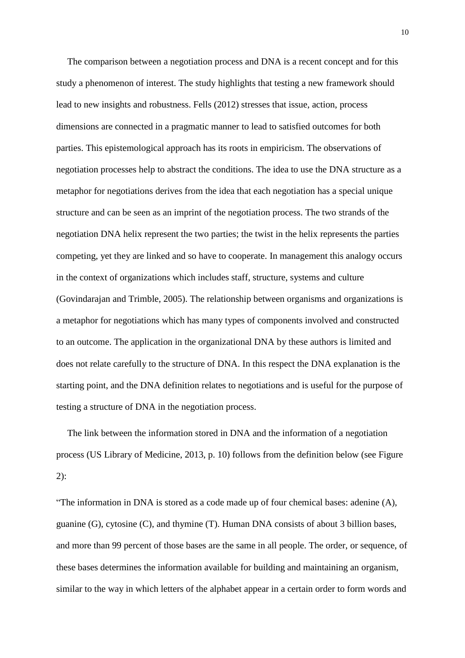The comparison between a negotiation process and DNA is a recent concept and for this study a phenomenon of interest. The study highlights that testing a new framework should lead to new insights and robustness. Fells (2012) stresses that issue, action, process dimensions are connected in a pragmatic manner to lead to satisfied outcomes for both parties. This epistemological approach has its roots in empiricism. The observations of negotiation processes help to abstract the conditions. The idea to use the DNA structure as a metaphor for negotiations derives from the idea that each negotiation has a special unique structure and can be seen as an imprint of the negotiation process. The two strands of the negotiation DNA helix represent the two parties; the twist in the helix represents the parties competing, yet they are linked and so have to cooperate. In management this analogy occurs in the context of organizations which includes staff, structure, systems and culture (Govindarajan and Trimble, 2005). The relationship between organisms and organizations is a metaphor for negotiations which has many types of components involved and constructed to an outcome. The application in the organizational DNA by these authors is limited and does not relate carefully to the structure of DNA. In this respect the DNA explanation is the starting point, and the DNA definition relates to negotiations and is useful for the purpose of testing a structure of DNA in the negotiation process.

The link between the information stored in DNA and the information of a negotiation process (US Library of Medicine, 2013, p. 10) follows from the definition below (see Figure 2):

"The information in DNA is stored as a code made up of four chemical bases: adenine (A), guanine (G), cytosine (C), and thymine (T). Human DNA consists of about 3 billion bases, and more than 99 percent of those bases are the same in all people. The order, or sequence, of these bases determines the information available for building and maintaining an organism, similar to the way in which letters of the alphabet appear in a certain order to form words and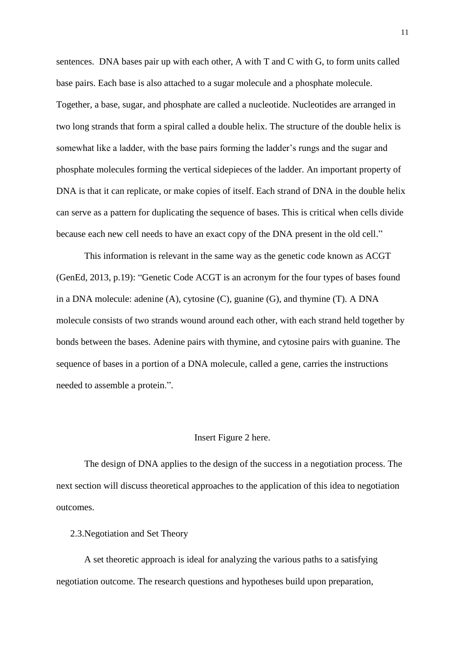sentences. DNA bases pair up with each other, A with T and C with G, to form units called base pairs. Each base is also attached to a sugar molecule and a phosphate molecule. Together, a base, sugar, and phosphate are called a nucleotide. Nucleotides are arranged in two long strands that form a spiral called a double helix. The structure of the double helix is somewhat like a ladder, with the base pairs forming the ladder's rungs and the sugar and phosphate molecules forming the vertical sidepieces of the ladder. An important property of DNA is that it can replicate, or make copies of itself. Each strand of DNA in the double helix can serve as a pattern for duplicating the sequence of bases. This is critical when cells divide because each new cell needs to have an exact copy of the DNA present in the old cell."

This information is relevant in the same way as the genetic code known as ACGT (GenEd, 2013, p.19): "Genetic Code ACGT is an acronym for the four types of bases found in a DNA molecule: adenine (A), cytosine (C), guanine (G), and thymine (T). A DNA molecule consists of two strands wound around each other, with each strand held together by bonds between the bases. Adenine pairs with thymine, and cytosine pairs with guanine. The sequence of bases in a portion of a DNA molecule, called a gene, carries the instructions needed to assemble a protein.".

#### Insert Figure 2 here.

The design of DNA applies to the design of the success in a negotiation process. The next section will discuss theoretical approaches to the application of this idea to negotiation outcomes.

2.3.Negotiation and Set Theory

A set theoretic approach is ideal for analyzing the various paths to a satisfying negotiation outcome. The research questions and hypotheses build upon preparation,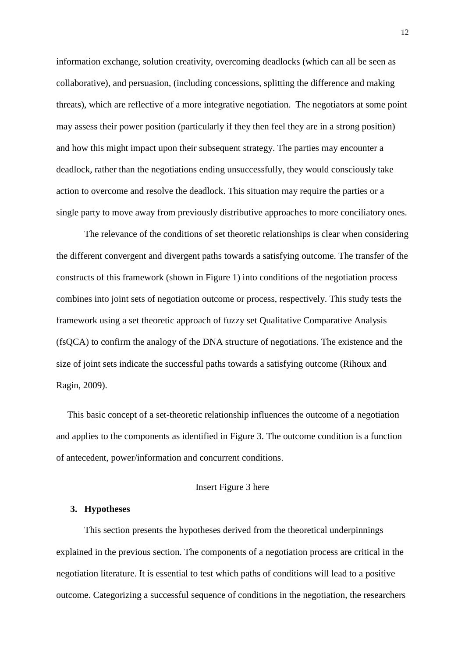information exchange, solution creativity, overcoming deadlocks (which can all be seen as collaborative), and persuasion, (including concessions, splitting the difference and making threats), which are reflective of a more integrative negotiation. The negotiators at some point may assess their power position (particularly if they then feel they are in a strong position) and how this might impact upon their subsequent strategy. The parties may encounter a deadlock, rather than the negotiations ending unsuccessfully, they would consciously take action to overcome and resolve the deadlock. This situation may require the parties or a single party to move away from previously distributive approaches to more conciliatory ones.

The relevance of the conditions of set theoretic relationships is clear when considering the different convergent and divergent paths towards a satisfying outcome. The transfer of the constructs of this framework (shown in Figure 1) into conditions of the negotiation process combines into joint sets of negotiation outcome or process, respectively. This study tests the framework using a set theoretic approach of fuzzy set Qualitative Comparative Analysis (fsQCA) to confirm the analogy of the DNA structure of negotiations. The existence and the size of joint sets indicate the successful paths towards a satisfying outcome (Rihoux and Ragin, 2009).

This basic concept of a set-theoretic relationship influences the outcome of a negotiation and applies to the components as identified in Figure 3. The outcome condition is a function of antecedent, power/information and concurrent conditions.

#### Insert Figure 3 here

#### **3. Hypotheses**

This section presents the hypotheses derived from the theoretical underpinnings explained in the previous section. The components of a negotiation process are critical in the negotiation literature. It is essential to test which paths of conditions will lead to a positive outcome. Categorizing a successful sequence of conditions in the negotiation, the researchers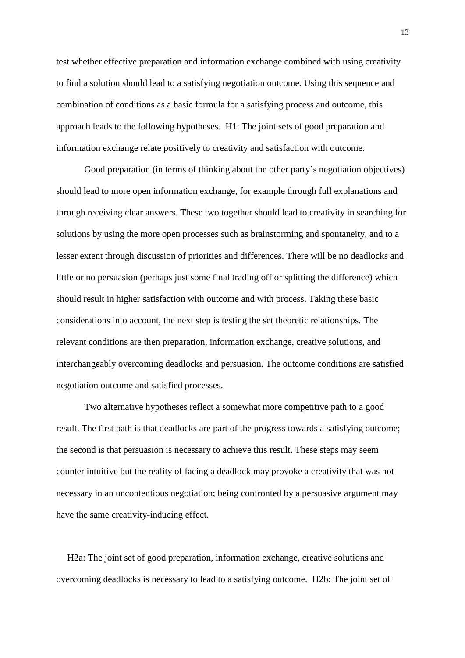test whether effective preparation and information exchange combined with using creativity to find a solution should lead to a satisfying negotiation outcome. Using this sequence and combination of conditions as a basic formula for a satisfying process and outcome, this approach leads to the following hypotheses. H1: The joint sets of good preparation and information exchange relate positively to creativity and satisfaction with outcome.

Good preparation (in terms of thinking about the other party's negotiation objectives) should lead to more open information exchange, for example through full explanations and through receiving clear answers. These two together should lead to creativity in searching for solutions by using the more open processes such as brainstorming and spontaneity, and to a lesser extent through discussion of priorities and differences. There will be no deadlocks and little or no persuasion (perhaps just some final trading off or splitting the difference) which should result in higher satisfaction with outcome and with process. Taking these basic considerations into account, the next step is testing the set theoretic relationships. The relevant conditions are then preparation, information exchange, creative solutions, and interchangeably overcoming deadlocks and persuasion. The outcome conditions are satisfied negotiation outcome and satisfied processes.

Two alternative hypotheses reflect a somewhat more competitive path to a good result. The first path is that deadlocks are part of the progress towards a satisfying outcome; the second is that persuasion is necessary to achieve this result. These steps may seem counter intuitive but the reality of facing a deadlock may provoke a creativity that was not necessary in an uncontentious negotiation; being confronted by a persuasive argument may have the same creativity-inducing effect.

H2a: The joint set of good preparation, information exchange, creative solutions and overcoming deadlocks is necessary to lead to a satisfying outcome. H2b: The joint set of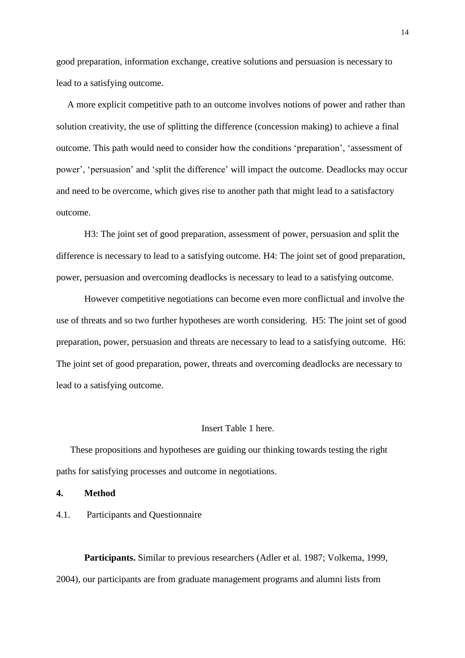good preparation, information exchange, creative solutions and persuasion is necessary to lead to a satisfying outcome.

A more explicit competitive path to an outcome involves notions of power and rather than solution creativity, the use of splitting the difference (concession making) to achieve a final outcome. This path would need to consider how the conditions 'preparation', 'assessment of power', 'persuasion' and 'split the difference' will impact the outcome. Deadlocks may occur and need to be overcome, which gives rise to another path that might lead to a satisfactory outcome.

H3: The joint set of good preparation, assessment of power, persuasion and split the difference is necessary to lead to a satisfying outcome. H4: The joint set of good preparation, power, persuasion and overcoming deadlocks is necessary to lead to a satisfying outcome.

However competitive negotiations can become even more conflictual and involve the use of threats and so two further hypotheses are worth considering. H5: The joint set of good preparation, power, persuasion and threats are necessary to lead to a satisfying outcome. H6: The joint set of good preparation, power, threats and overcoming deadlocks are necessary to lead to a satisfying outcome.

#### Insert Table 1 here.

These propositions and hypotheses are guiding our thinking towards testing the right paths for satisfying processes and outcome in negotiations.

**4. Method**

4.1. Participants and Questionnaire

**Participants.** Similar to previous researchers (Adler et al. 1987; Volkema, 1999, 2004), our participants are from graduate management programs and alumni lists from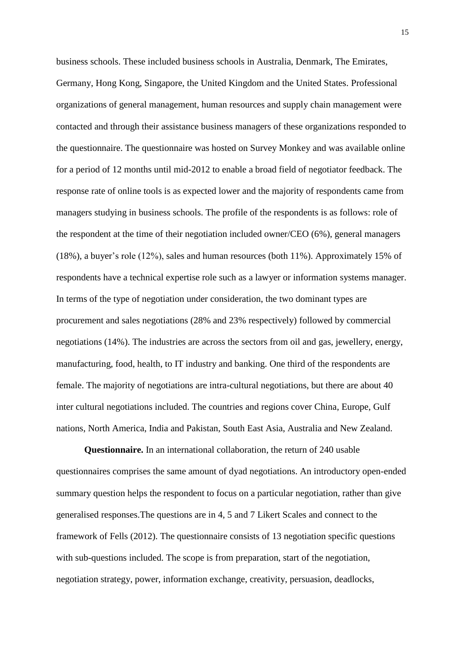business schools. These included business schools in Australia, Denmark, The Emirates, Germany, Hong Kong, Singapore, the United Kingdom and the United States. Professional organizations of general management, human resources and supply chain management were contacted and through their assistance business managers of these organizations responded to the questionnaire. The questionnaire was hosted on Survey Monkey and was available online for a period of 12 months until mid-2012 to enable a broad field of negotiator feedback. The response rate of online tools is as expected lower and the majority of respondents came from managers studying in business schools. The profile of the respondents is as follows: role of the respondent at the time of their negotiation included owner/CEO (6%), general managers (18%), a buyer's role (12%), sales and human resources (both 11%). Approximately 15% of respondents have a technical expertise role such as a lawyer or information systems manager. In terms of the type of negotiation under consideration, the two dominant types are procurement and sales negotiations (28% and 23% respectively) followed by commercial negotiations (14%). The industries are across the sectors from oil and gas, jewellery, energy, manufacturing, food, health, to IT industry and banking. One third of the respondents are female. The majority of negotiations are intra-cultural negotiations, but there are about 40 inter cultural negotiations included. The countries and regions cover China, Europe, Gulf nations, North America, India and Pakistan, South East Asia, Australia and New Zealand.

**Questionnaire.** In an international collaboration, the return of 240 usable questionnaires comprises the same amount of dyad negotiations. An introductory open-ended summary question helps the respondent to focus on a particular negotiation, rather than give generalised responses.The questions are in 4, 5 and 7 Likert Scales and connect to the framework of Fells (2012). The questionnaire consists of 13 negotiation specific questions with sub-questions included. The scope is from preparation, start of the negotiation, negotiation strategy, power, information exchange, creativity, persuasion, deadlocks,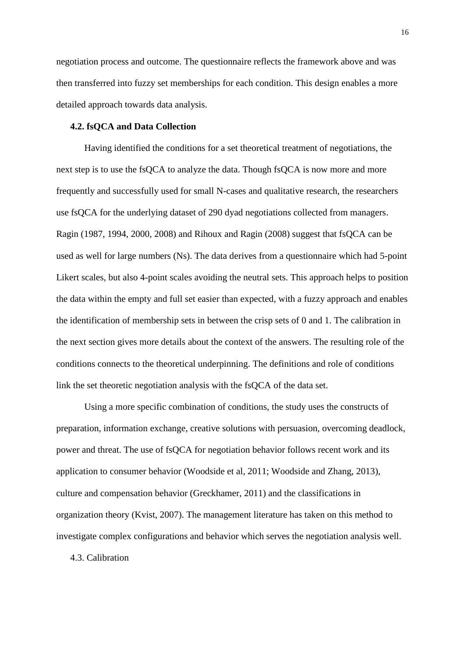negotiation process and outcome. The questionnaire reflects the framework above and was then transferred into fuzzy set memberships for each condition. This design enables a more detailed approach towards data analysis.

## **4.2. fsQCA and Data Collection**

Having identified the conditions for a set theoretical treatment of negotiations, the next step is to use the fsQCA to analyze the data. Though fsQCA is now more and more frequently and successfully used for small N-cases and qualitative research, the researchers use fsQCA for the underlying dataset of 290 dyad negotiations collected from managers. Ragin (1987, 1994, 2000, 2008) and Rihoux and Ragin (2008) suggest that fsQCA can be used as well for large numbers (Ns). The data derives from a questionnaire which had 5-point Likert scales, but also 4-point scales avoiding the neutral sets. This approach helps to position the data within the empty and full set easier than expected, with a fuzzy approach and enables the identification of membership sets in between the crisp sets of 0 and 1. The calibration in the next section gives more details about the context of the answers. The resulting role of the conditions connects to the theoretical underpinning. The definitions and role of conditions link the set theoretic negotiation analysis with the fsQCA of the data set.

Using a more specific combination of conditions, the study uses the constructs of preparation, information exchange, creative solutions with persuasion, overcoming deadlock, power and threat. The use of fsQCA for negotiation behavior follows recent work and its application to consumer behavior (Woodside et al, 2011; Woodside and Zhang, 2013), culture and compensation behavior (Greckhamer, 2011) and the classifications in organization theory (Kvist, 2007). The management literature has taken on this method to investigate complex configurations and behavior which serves the negotiation analysis well.

4.3. Calibration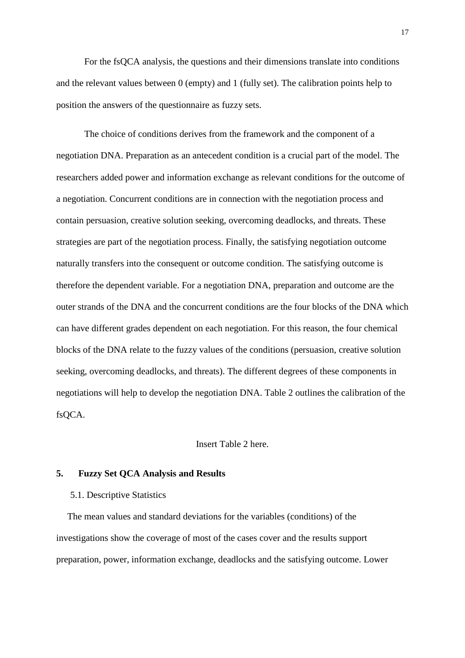For the fsQCA analysis, the questions and their dimensions translate into conditions and the relevant values between 0 (empty) and 1 (fully set). The calibration points help to position the answers of the questionnaire as fuzzy sets.

The choice of conditions derives from the framework and the component of a negotiation DNA. Preparation as an antecedent condition is a crucial part of the model. The researchers added power and information exchange as relevant conditions for the outcome of a negotiation. Concurrent conditions are in connection with the negotiation process and contain persuasion, creative solution seeking, overcoming deadlocks, and threats. These strategies are part of the negotiation process. Finally, the satisfying negotiation outcome naturally transfers into the consequent or outcome condition. The satisfying outcome is therefore the dependent variable. For a negotiation DNA, preparation and outcome are the outer strands of the DNA and the concurrent conditions are the four blocks of the DNA which can have different grades dependent on each negotiation. For this reason, the four chemical blocks of the DNA relate to the fuzzy values of the conditions (persuasion, creative solution seeking, overcoming deadlocks, and threats). The different degrees of these components in negotiations will help to develop the negotiation DNA. Table 2 outlines the calibration of the fsQCA.

## Insert Table 2 here.

#### **5. Fuzzy Set QCA Analysis and Results**

5.1. Descriptive Statistics

The mean values and standard deviations for the variables (conditions) of the investigations show the coverage of most of the cases cover and the results support preparation, power, information exchange, deadlocks and the satisfying outcome. Lower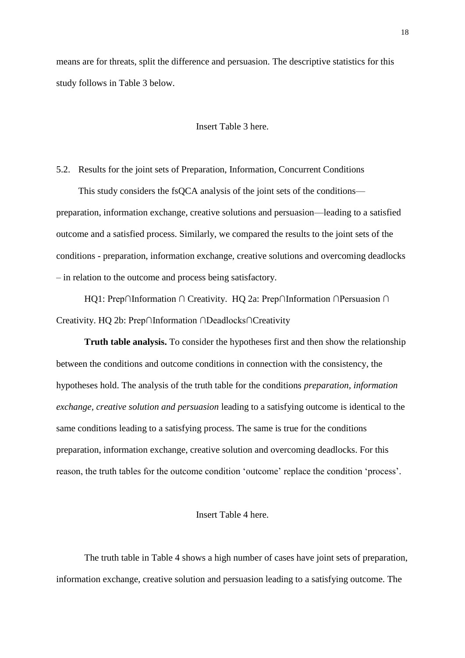means are for threats, split the difference and persuasion. The descriptive statistics for this study follows in Table 3 below.

## Insert Table 3 here.

5.2. Results for the joint sets of Preparation, Information, Concurrent Conditions

This study considers the fsQCA analysis of the joint sets of the conditions preparation, information exchange, creative solutions and persuasion—leading to a satisfied outcome and a satisfied process. Similarly, we compared the results to the joint sets of the conditions - preparation, information exchange, creative solutions and overcoming deadlocks – in relation to the outcome and process being satisfactory.

HQ1: Prep∩Information ∩ Creativity. HQ 2a: Prep∩Information ∩Persuasion ∩ Creativity. HQ 2b: Prep∩Information ∩Deadlocks∩Creativity

**Truth table analysis.** To consider the hypotheses first and then show the relationship between the conditions and outcome conditions in connection with the consistency, the hypotheses hold. The analysis of the truth table for the conditions *preparation, information exchange, creative solution and persuasion* leading to a satisfying outcome is identical to the same conditions leading to a satisfying process. The same is true for the conditions preparation, information exchange, creative solution and overcoming deadlocks. For this reason, the truth tables for the outcome condition 'outcome' replace the condition 'process'.

#### Insert Table 4 here.

The truth table in Table 4 shows a high number of cases have joint sets of preparation, information exchange, creative solution and persuasion leading to a satisfying outcome. The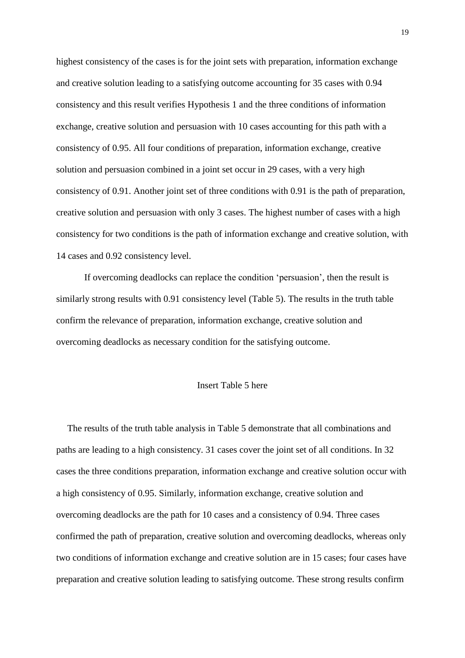highest consistency of the cases is for the joint sets with preparation, information exchange and creative solution leading to a satisfying outcome accounting for 35 cases with 0.94 consistency and this result verifies Hypothesis 1 and the three conditions of information exchange, creative solution and persuasion with 10 cases accounting for this path with a consistency of 0.95. All four conditions of preparation, information exchange, creative solution and persuasion combined in a joint set occur in 29 cases, with a very high consistency of 0.91. Another joint set of three conditions with 0.91 is the path of preparation, creative solution and persuasion with only 3 cases. The highest number of cases with a high consistency for two conditions is the path of information exchange and creative solution, with 14 cases and 0.92 consistency level.

If overcoming deadlocks can replace the condition 'persuasion', then the result is similarly strong results with 0.91 consistency level (Table 5). The results in the truth table confirm the relevance of preparation, information exchange, creative solution and overcoming deadlocks as necessary condition for the satisfying outcome.

## Insert Table 5 here

The results of the truth table analysis in Table 5 demonstrate that all combinations and paths are leading to a high consistency. 31 cases cover the joint set of all conditions. In 32 cases the three conditions preparation, information exchange and creative solution occur with a high consistency of 0.95. Similarly, information exchange, creative solution and overcoming deadlocks are the path for 10 cases and a consistency of 0.94. Three cases confirmed the path of preparation, creative solution and overcoming deadlocks, whereas only two conditions of information exchange and creative solution are in 15 cases; four cases have preparation and creative solution leading to satisfying outcome. These strong results confirm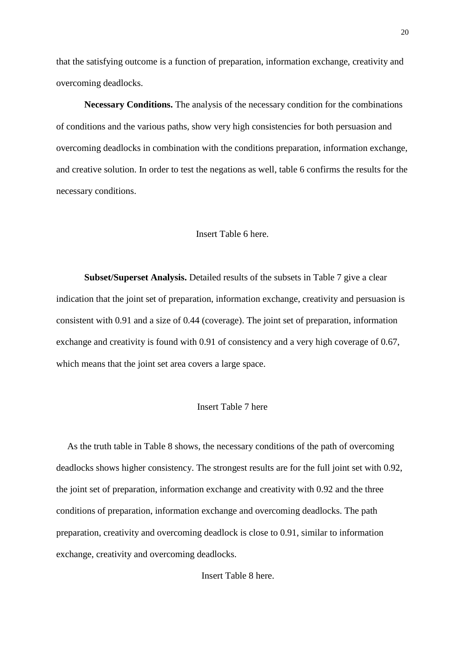that the satisfying outcome is a function of preparation, information exchange, creativity and overcoming deadlocks.

**Necessary Conditions.** The analysis of the necessary condition for the combinations of conditions and the various paths, show very high consistencies for both persuasion and overcoming deadlocks in combination with the conditions preparation, information exchange, and creative solution. In order to test the negations as well, table 6 confirms the results for the necessary conditions.

#### Insert Table 6 here.

**Subset/Superset Analysis.** Detailed results of the subsets in Table 7 give a clear indication that the joint set of preparation, information exchange, creativity and persuasion is consistent with 0.91 and a size of 0.44 (coverage). The joint set of preparation, information exchange and creativity is found with 0.91 of consistency and a very high coverage of 0.67, which means that the joint set area covers a large space.

## Insert Table 7 here

As the truth table in Table 8 shows, the necessary conditions of the path of overcoming deadlocks shows higher consistency. The strongest results are for the full joint set with 0.92, the joint set of preparation, information exchange and creativity with 0.92 and the three conditions of preparation, information exchange and overcoming deadlocks. The path preparation, creativity and overcoming deadlock is close to 0.91, similar to information exchange, creativity and overcoming deadlocks.

Insert Table 8 here.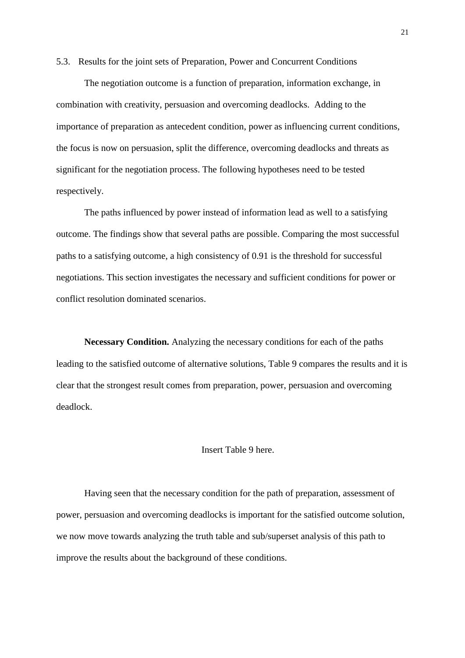5.3. Results for the joint sets of Preparation, Power and Concurrent Conditions

The negotiation outcome is a function of preparation, information exchange, in combination with creativity, persuasion and overcoming deadlocks. Adding to the importance of preparation as antecedent condition, power as influencing current conditions, the focus is now on persuasion, split the difference, overcoming deadlocks and threats as significant for the negotiation process. The following hypotheses need to be tested respectively.

The paths influenced by power instead of information lead as well to a satisfying outcome. The findings show that several paths are possible. Comparing the most successful paths to a satisfying outcome, a high consistency of 0.91 is the threshold for successful negotiations. This section investigates the necessary and sufficient conditions for power or conflict resolution dominated scenarios.

**Necessary Condition.** Analyzing the necessary conditions for each of the paths leading to the satisfied outcome of alternative solutions, Table 9 compares the results and it is clear that the strongest result comes from preparation, power, persuasion and overcoming deadlock.

## Insert Table 9 here.

Having seen that the necessary condition for the path of preparation, assessment of power, persuasion and overcoming deadlocks is important for the satisfied outcome solution, we now move towards analyzing the truth table and sub/superset analysis of this path to improve the results about the background of these conditions.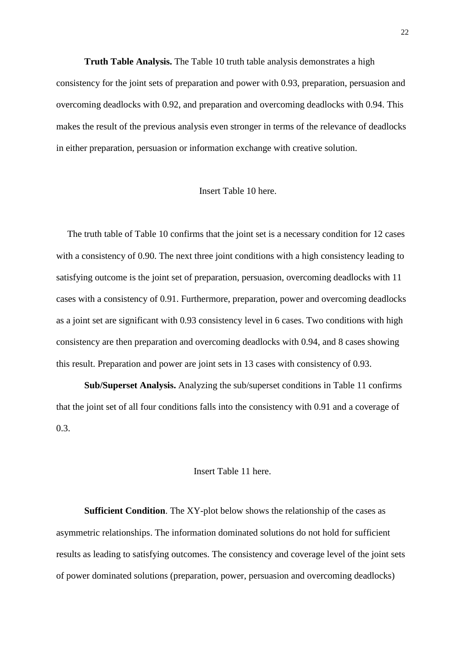**Truth Table Analysis.** The Table 10 truth table analysis demonstrates a high consistency for the joint sets of preparation and power with 0.93, preparation, persuasion and overcoming deadlocks with 0.92, and preparation and overcoming deadlocks with 0.94. This makes the result of the previous analysis even stronger in terms of the relevance of deadlocks in either preparation, persuasion or information exchange with creative solution.

#### Insert Table 10 here.

The truth table of Table 10 confirms that the joint set is a necessary condition for 12 cases with a consistency of 0.90. The next three joint conditions with a high consistency leading to satisfying outcome is the joint set of preparation, persuasion, overcoming deadlocks with 11 cases with a consistency of 0.91. Furthermore, preparation, power and overcoming deadlocks as a joint set are significant with 0.93 consistency level in 6 cases. Two conditions with high consistency are then preparation and overcoming deadlocks with 0.94, and 8 cases showing this result. Preparation and power are joint sets in 13 cases with consistency of 0.93.

**Sub/Superset Analysis.** Analyzing the sub/superset conditions in Table 11 confirms that the joint set of all four conditions falls into the consistency with 0.91 and a coverage of 0.3.

#### Insert Table 11 here.

**Sufficient Condition**. The XY-plot below shows the relationship of the cases as asymmetric relationships. The information dominated solutions do not hold for sufficient results as leading to satisfying outcomes. The consistency and coverage level of the joint sets of power dominated solutions (preparation, power, persuasion and overcoming deadlocks)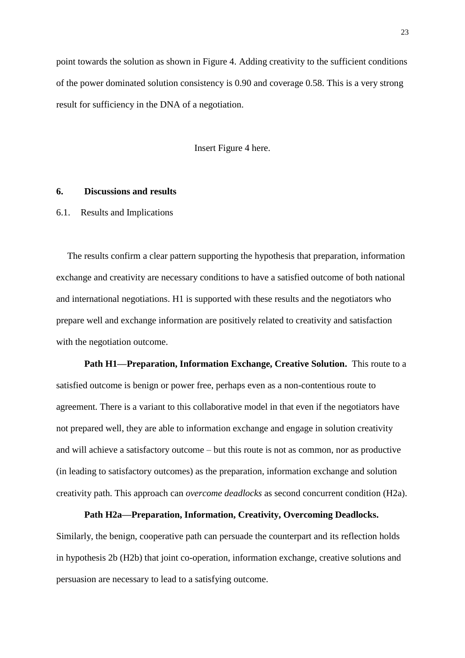point towards the solution as shown in Figure 4. Adding creativity to the sufficient conditions of the power dominated solution consistency is 0.90 and coverage 0.58. This is a very strong result for sufficiency in the DNA of a negotiation.

Insert Figure 4 here.

#### **6. Discussions and results**

6.1. Results and Implications

The results confirm a clear pattern supporting the hypothesis that preparation, information exchange and creativity are necessary conditions to have a satisfied outcome of both national and international negotiations. H1 is supported with these results and the negotiators who prepare well and exchange information are positively related to creativity and satisfaction with the negotiation outcome.

**Path H1—Preparation, Information Exchange, Creative Solution.** This route to a satisfied outcome is benign or power free, perhaps even as a non-contentious route to agreement. There is a variant to this collaborative model in that even if the negotiators have not prepared well, they are able to information exchange and engage in solution creativity and will achieve a satisfactory outcome – but this route is not as common, nor as productive (in leading to satisfactory outcomes) as the preparation, information exchange and solution creativity path. This approach can *overcome deadlocks* as second concurrent condition (H2a).

**Path H2a—Preparation, Information, Creativity, Overcoming Deadlocks.** Similarly, the benign, cooperative path can persuade the counterpart and its reflection holds in hypothesis 2b (H2b) that joint co-operation, information exchange, creative solutions and persuasion are necessary to lead to a satisfying outcome.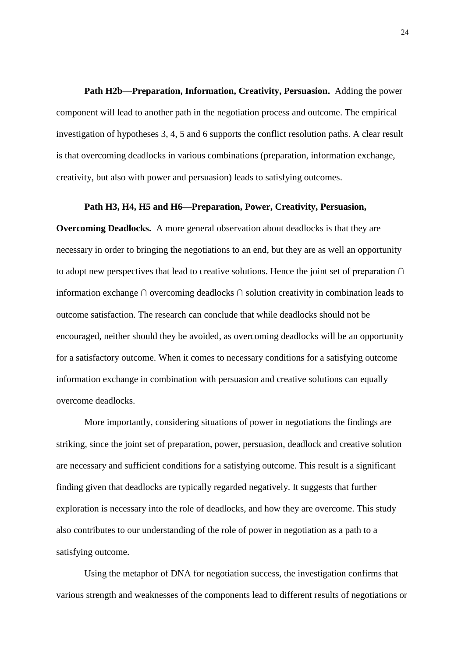**Path H2b—Preparation, Information, Creativity, Persuasion.** Adding the power component will lead to another path in the negotiation process and outcome. The empirical investigation of hypotheses 3, 4, 5 and 6 supports the conflict resolution paths. A clear result is that overcoming deadlocks in various combinations (preparation, information exchange, creativity, but also with power and persuasion) leads to satisfying outcomes.

#### **Path H3, H4, H5 and H6—Preparation, Power, Creativity, Persuasion,**

**Overcoming Deadlocks.** A more general observation about deadlocks is that they are necessary in order to bringing the negotiations to an end, but they are as well an opportunity to adopt new perspectives that lead to creative solutions. Hence the joint set of preparation ∩ information exchange ∩ overcoming deadlocks ∩ solution creativity in combination leads to outcome satisfaction. The research can conclude that while deadlocks should not be encouraged, neither should they be avoided, as overcoming deadlocks will be an opportunity for a satisfactory outcome. When it comes to necessary conditions for a satisfying outcome information exchange in combination with persuasion and creative solutions can equally overcome deadlocks.

More importantly, considering situations of power in negotiations the findings are striking, since the joint set of preparation, power, persuasion, deadlock and creative solution are necessary and sufficient conditions for a satisfying outcome. This result is a significant finding given that deadlocks are typically regarded negatively. It suggests that further exploration is necessary into the role of deadlocks, and how they are overcome. This study also contributes to our understanding of the role of power in negotiation as a path to a satisfying outcome.

Using the metaphor of DNA for negotiation success, the investigation confirms that various strength and weaknesses of the components lead to different results of negotiations or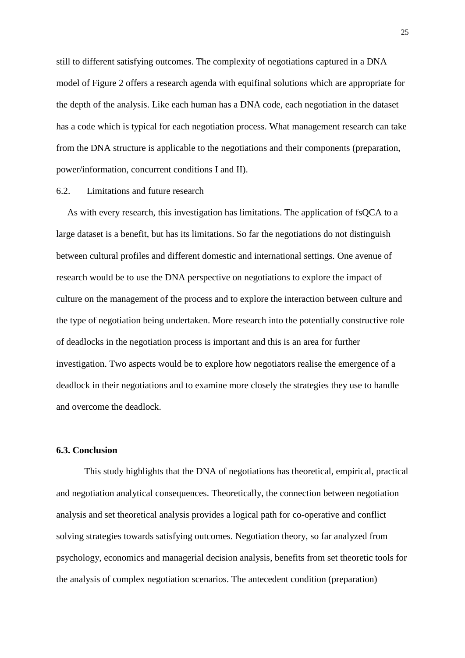still to different satisfying outcomes. The complexity of negotiations captured in a DNA model of Figure 2 offers a research agenda with equifinal solutions which are appropriate for the depth of the analysis. Like each human has a DNA code, each negotiation in the dataset has a code which is typical for each negotiation process. What management research can take from the DNA structure is applicable to the negotiations and their components (preparation, power/information, concurrent conditions I and II).

#### 6.2. Limitations and future research

As with every research, this investigation has limitations. The application of fsQCA to a large dataset is a benefit, but has its limitations. So far the negotiations do not distinguish between cultural profiles and different domestic and international settings. One avenue of research would be to use the DNA perspective on negotiations to explore the impact of culture on the management of the process and to explore the interaction between culture and the type of negotiation being undertaken. More research into the potentially constructive role of deadlocks in the negotiation process is important and this is an area for further investigation. Two aspects would be to explore how negotiators realise the emergence of a deadlock in their negotiations and to examine more closely the strategies they use to handle and overcome the deadlock.

#### **6.3. Conclusion**

This study highlights that the DNA of negotiations has theoretical, empirical, practical and negotiation analytical consequences. Theoretically, the connection between negotiation analysis and set theoretical analysis provides a logical path for co-operative and conflict solving strategies towards satisfying outcomes. Negotiation theory, so far analyzed from psychology, economics and managerial decision analysis, benefits from set theoretic tools for the analysis of complex negotiation scenarios. The antecedent condition (preparation)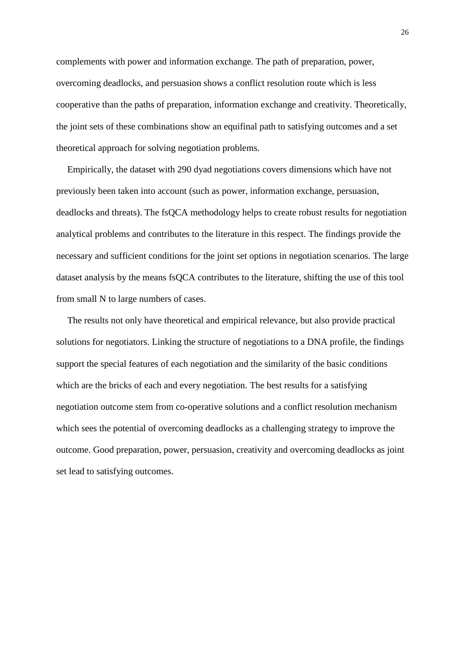complements with power and information exchange. The path of preparation, power, overcoming deadlocks, and persuasion shows a conflict resolution route which is less cooperative than the paths of preparation, information exchange and creativity. Theoretically, the joint sets of these combinations show an equifinal path to satisfying outcomes and a set theoretical approach for solving negotiation problems.

Empirically, the dataset with 290 dyad negotiations covers dimensions which have not previously been taken into account (such as power, information exchange, persuasion, deadlocks and threats). The fsQCA methodology helps to create robust results for negotiation analytical problems and contributes to the literature in this respect. The findings provide the necessary and sufficient conditions for the joint set options in negotiation scenarios. The large dataset analysis by the means fsQCA contributes to the literature, shifting the use of this tool from small N to large numbers of cases.

The results not only have theoretical and empirical relevance, but also provide practical solutions for negotiators. Linking the structure of negotiations to a DNA profile, the findings support the special features of each negotiation and the similarity of the basic conditions which are the bricks of each and every negotiation. The best results for a satisfying negotiation outcome stem from co-operative solutions and a conflict resolution mechanism which sees the potential of overcoming deadlocks as a challenging strategy to improve the outcome. Good preparation, power, persuasion, creativity and overcoming deadlocks as joint set lead to satisfying outcomes.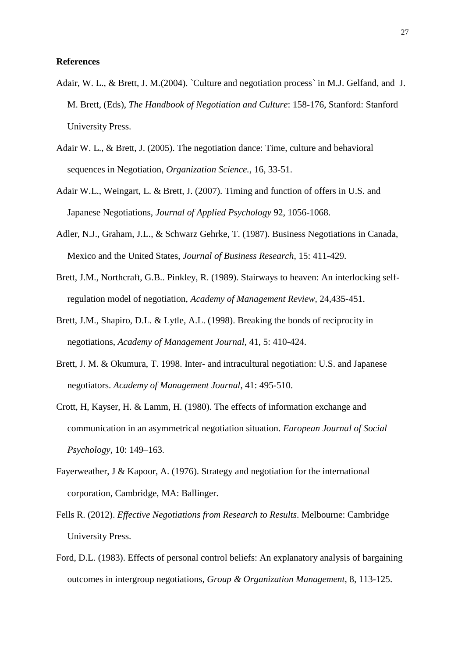#### **References**

- Adair, W. L., & Brett, J. M.(2004). `Culture and negotiation process` in M.J. Gelfand, and J. M. Brett, (Eds), *The Handbook of Negotiation and Culture*: 158-176, Stanford: Stanford University Press.
- Adair W. L., & Brett, J. (2005). The negotiation dance: Time, culture and behavioral sequences in Negotiation, *Organization Science.*, 16, 33-51.
- Adair W.L., Weingart, L. & Brett, J. (2007). Timing and function of offers in U.S. and Japanese Negotiations, *Journal of Applied Psychology* 92, 1056-1068.
- Adler, N.J., Graham, J.L., & Schwarz Gehrke, T. (1987). Business Negotiations in Canada, Mexico and the United States, *Journal of Business Research*, 15: 411-429.
- Brett, J.M., Northcraft, G.B.. Pinkley, R. (1989). Stairways to heaven: An interlocking selfregulation model of negotiation, *Academy of Management Review,* 24,435-451.
- Brett, J.M., Shapiro, D.L. & Lytle, A.L. (1998). Breaking the bonds of reciprocity in negotiations, *Academy of Management Journal*, 41, 5: 410-424.
- Brett, J. M. & Okumura, T. 1998. Inter- and intracultural negotiation: U.S. and Japanese negotiators. *Academy of Management Journal*, 41: 495-510.
- Crott, H, Kayser, H. & Lamm, H. (1980). The effects of information exchange and communication in an asymmetrical negotiation situation. *European Journal of Social Psychology*, 10: 149–163.
- Fayerweather, J & Kapoor, A. (1976). Strategy and negotiation for the international corporation, Cambridge, MA: Ballinger.
- Fells R. (2012). *Effective Negotiations from Research to Results*. Melbourne: Cambridge University Press.
- Ford, D.L. (1983). Effects of personal control beliefs: An explanatory analysis of bargaining outcomes in intergroup negotiations, *Group & Organization Management*, 8, 113-125.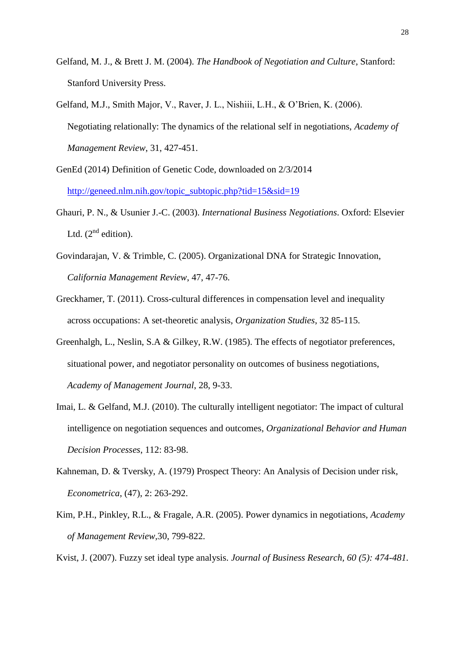- Gelfand, M. J., & Brett J. M. (2004). *The Handbook of Negotiation and Culture*, Stanford: Stanford University Press.
- Gelfand, M.J., Smith Major, V., Raver, J. L., Nishiii, L.H., & O'Brien, K. (2006). Negotiating relationally: The dynamics of the relational self in negotiations, *Academy of Management Review*, 31, 427-451.
- GenEd (2014) Definition of Genetic Code, downloaded on 2/3/2014 [http://geneed.nlm.nih.gov/topic\\_subtopic.php?tid=15&sid=19](http://geneed.nlm.nih.gov/topic_subtopic.php?tid=15&sid=19)
- Ghauri, P. N., & Usunier J.-C. (2003). *International Business Negotiations*. Oxford: Elsevier Ltd.  $(2^{nd}$  edition).
- Govindarajan, V. & Trimble, C. (2005). Organizational DNA for Strategic Innovation, *California Management Review*, 47, 47-76.
- Greckhamer, T. (2011). Cross-cultural differences in compensation level and inequality across occupations: A set-theoretic analysis, *Organization Studies*, 32 85-115.
- Greenhalgh, L., Neslin, S.A & Gilkey, R.W. (1985). The effects of negotiator preferences, situational power, and negotiator personality on outcomes of business negotiations, *Academy of Management Journal*, 28, 9-33.
- Imai, L. & Gelfand, M.J. (2010). The culturally intelligent negotiator: The impact of cultural intelligence on negotiation sequences and outcomes, *Organizational Behavior and Human Decision Processes*, 112: 83-98.
- Kahneman, D. & Tversky, A. (1979) Prospect Theory: An Analysis of Decision under risk, *Econometrica*, (47), 2: 263-292.
- Kim, P.H., Pinkley, R.L., & Fragale, A.R. (2005). Power dynamics in negotiations, *Academy of Management Review,*30, 799-822.

Kvist, J. (2007). Fuzzy set ideal type analysis. *Journal of Business Research, 60 (5): 474-481.*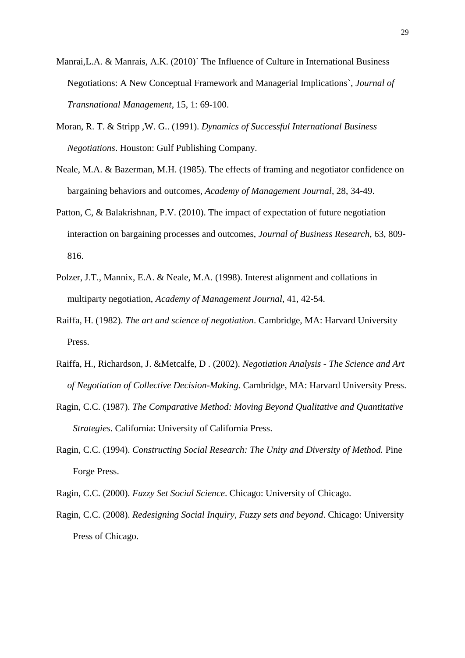- Manrai,L.A. & Manrais, A.K. (2010)` The Influence of Culture in International Business Negotiations: A New Conceptual Framework and Managerial Implications`, *Journal of Transnational Management*, 15, 1: 69-100.
- Moran, R. T. & Stripp ,W. G.. (1991). *Dynamics of Successful International Business Negotiations*. Houston: Gulf Publishing Company.
- Neale, M.A. & Bazerman, M.H. (1985). The effects of framing and negotiator confidence on bargaining behaviors and outcomes, *Academy of Management Journal*, 28, 34-49.
- Patton, C, & Balakrishnan, P.V. (2010). The impact of expectation of future negotiation interaction on bargaining processes and outcomes, *Journal of Business Research*, 63, 809- 816.
- Polzer, J.T., Mannix, E.A. & Neale, M.A. (1998). Interest alignment and collations in multiparty negotiation, *Academy of Management Journal*, 41, 42-54.
- Raiffa, H. (1982). *The art and science of negotiation*. Cambridge, MA: Harvard University Press.
- Raiffa, H., Richardson, J. &Metcalfe, D . (2002). *Negotiation Analysis - The Science and Art of Negotiation of Collective Decision-Making*. Cambridge, MA: Harvard University Press.
- Ragin, C.C. (1987). *The Comparative Method: Moving Beyond Qualitative and Quantitative Strategies*. California: University of California Press.
- Ragin, C.C. (1994). *Constructing Social Research: The Unity and Diversity of Method.* Pine Forge Press.
- Ragin, C.C. (2000). *Fuzzy Set Social Science*. Chicago: University of Chicago.
- Ragin, C.C. (2008). *Redesigning Social Inquiry, Fuzzy sets and beyond*. Chicago: University Press of Chicago.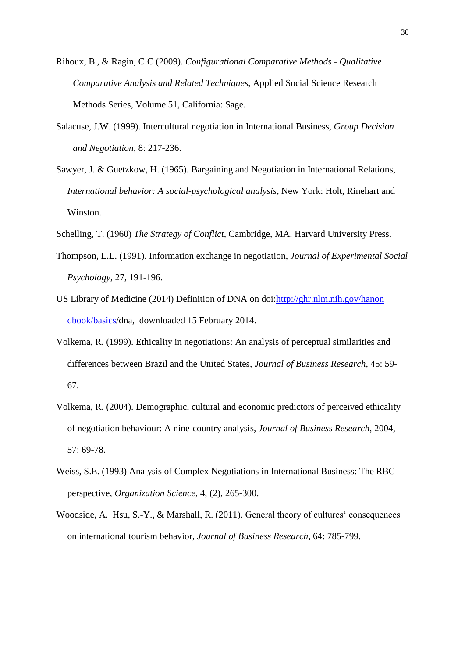- Rihoux, B., & Ragin, C.C (2009). *Configurational Comparative Methods - Qualitative Comparative Analysis and Related Techniques*, Applied Social Science Research Methods Series, Volume 51, California: Sage.
- Salacuse, J.W. (1999). Intercultural negotiation in International Business, *Group Decision and Negotiation*, 8: 217-236.
- Sawyer, J. & Guetzkow, H. (1965). Bargaining and Negotiation in International Relations, *International behavior: A social-psychological analysis*, New York: Holt, Rinehart and Winston.
- Schelling, T. (1960) *The Strategy of Conflict*, Cambridge, MA. Harvard University Press.
- Thompson, L.L. (1991). Information exchange in negotiation, *Journal of Experimental Social Psychology*, 27, 191-196.
- US Library of Medicine (2014) Definition of DNA on doi[:http://ghr.nlm.nih.gov/hanon](http://ghr.nlm.nih.gov/hanon%20dbook/basics)  [dbook/basics/](http://ghr.nlm.nih.gov/hanon%20dbook/basics)dna, downloaded 15 February 2014.
- Volkema, R. (1999). Ethicality in negotiations: An analysis of perceptual similarities and differences between Brazil and the United States, *Journal of Business Research*, 45: 59- 67.
- Volkema, R. (2004). Demographic, cultural and economic predictors of perceived ethicality of negotiation behaviour: A nine-country analysis, *Journal of Business Research*, 2004, 57: 69-78.
- Weiss, S.E. (1993) Analysis of Complex Negotiations in International Business: The RBC perspective, *Organization Science*, 4, (2), 265-300.
- Woodside, A. Hsu, S.-Y., & Marshall, R. (2011). General theory of cultures' consequences on international tourism behavior, *Journal of Business Research*, 64: 785-799.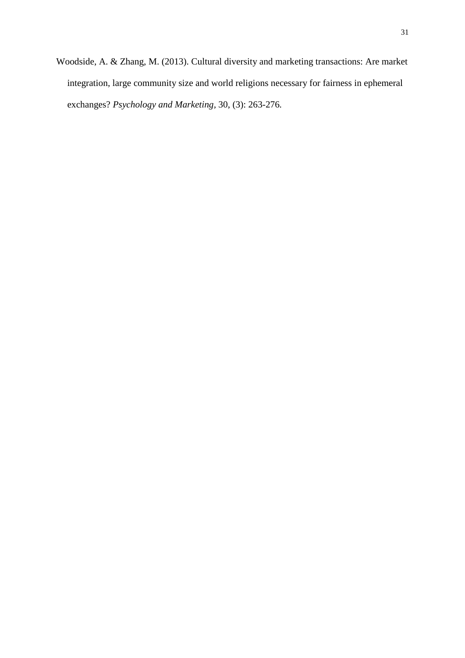Woodside, A. & Zhang, M. (2013). Cultural diversity and marketing transactions: Are market integration, large community size and world religions necessary for fairness in ephemeral exchanges? *Psychology and Marketing,* 30, (3): 263-276*.*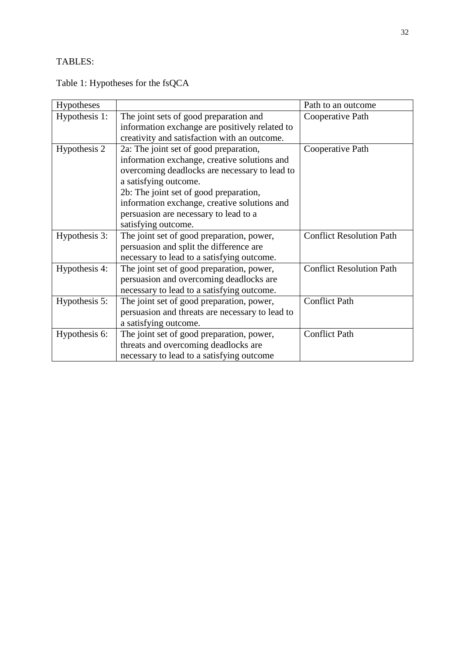# TABLES:

Table 1: Hypotheses for the fsQCA

| Hypotheses    |                                                 | Path to an outcome              |
|---------------|-------------------------------------------------|---------------------------------|
| Hypothesis 1: | The joint sets of good preparation and          | Cooperative Path                |
|               | information exchange are positively related to  |                                 |
|               | creativity and satisfaction with an outcome.    |                                 |
| Hypothesis 2  | 2a: The joint set of good preparation,          | Cooperative Path                |
|               | information exchange, creative solutions and    |                                 |
|               | overcoming deadlocks are necessary to lead to   |                                 |
|               | a satisfying outcome.                           |                                 |
|               | 2b: The joint set of good preparation,          |                                 |
|               | information exchange, creative solutions and    |                                 |
|               | persuasion are necessary to lead to a           |                                 |
|               | satisfying outcome.                             |                                 |
| Hypothesis 3: | The joint set of good preparation, power,       | <b>Conflict Resolution Path</b> |
|               | persuasion and split the difference are         |                                 |
|               | necessary to lead to a satisfying outcome.      |                                 |
| Hypothesis 4: | The joint set of good preparation, power,       | <b>Conflict Resolution Path</b> |
|               | persuasion and overcoming deadlocks are         |                                 |
|               | necessary to lead to a satisfying outcome.      |                                 |
| Hypothesis 5: | The joint set of good preparation, power,       | <b>Conflict Path</b>            |
|               | persuasion and threats are necessary to lead to |                                 |
|               | a satisfying outcome.                           |                                 |
| Hypothesis 6: | The joint set of good preparation, power,       | <b>Conflict Path</b>            |
|               | threats and overcoming deadlocks are            |                                 |
|               | necessary to lead to a satisfying outcome       |                                 |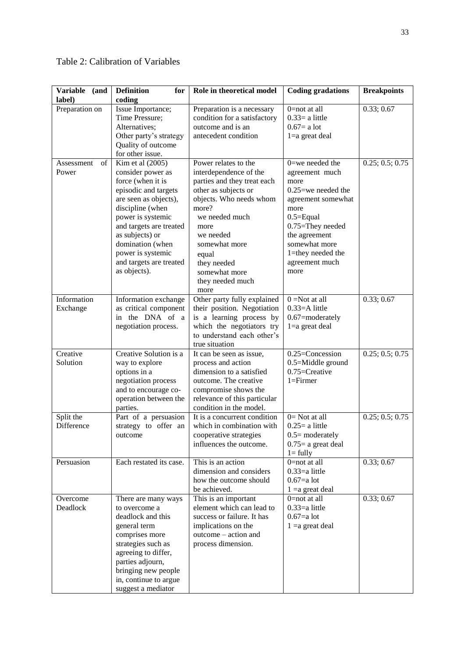| <b>Variable</b><br>(and<br>label) | <b>Definition</b><br>for<br>coding                                                                                                                                                                                                                                                       | Role in theoretical model                                                                                                                                                                                                                                              | <b>Coding gradations</b>                                                                                                                                                                                                      | <b>Breakpoints</b> |
|-----------------------------------|------------------------------------------------------------------------------------------------------------------------------------------------------------------------------------------------------------------------------------------------------------------------------------------|------------------------------------------------------------------------------------------------------------------------------------------------------------------------------------------------------------------------------------------------------------------------|-------------------------------------------------------------------------------------------------------------------------------------------------------------------------------------------------------------------------------|--------------------|
| Preparation on                    | Issue Importance;<br>Time Pressure;<br>Alternatives:<br>Other party's strategy<br>Quality of outcome<br>for other issue.                                                                                                                                                                 | Preparation is a necessary<br>condition for a satisfactory<br>outcome and is an<br>antecedent condition                                                                                                                                                                | $0 = not$ at all<br>$0.33=$ a little<br>$0.67 = a$ lot<br>$1=a$ great deal                                                                                                                                                    | 0.33; 0.67         |
| of<br>Assessment<br>Power         | Kim et al $(2005)$<br>consider power as<br>force (when it is<br>episodic and targets<br>are seen as objects),<br>discipline (when<br>power is systemic<br>and targets are treated<br>as subjects) or<br>domination (when<br>power is systemic<br>and targets are treated<br>as objects). | Power relates to the<br>interdependence of the<br>parties and they treat each<br>other as subjects or<br>objects. Who needs whom<br>more?<br>we needed much<br>more<br>we needed<br>somewhat more<br>equal<br>they needed<br>somewhat more<br>they needed much<br>more | $0$ =we needed the<br>agreement much<br>more<br>$0.25$ =we needed the<br>agreement somewhat<br>more<br>$0.5 =$ Equal<br>$0.75 =$ They needed<br>the agreement<br>somewhat more<br>1=they needed the<br>agreement much<br>more | 0.25; 0.5; 0.75    |
| Information<br>Exchange           | Information exchange<br>as critical component<br>in the DNA of a<br>negotiation process.                                                                                                                                                                                                 | Other party fully explained<br>their position. Negotiation<br>is a learning process by<br>which the negotiators try<br>to understand each other's<br>true situation                                                                                                    | $0 = Not$ at all<br>$0.33 = A$ little<br>0.67=moderately<br>$1=a$ great deal                                                                                                                                                  | 0.33; 0.67         |
| Creative<br>Solution              | Creative Solution is a<br>way to explore<br>options in a<br>negotiation process<br>and to encourage co-<br>operation between the<br>parties.                                                                                                                                             | It can be seen as issue,<br>process and action<br>dimension to a satisfied<br>outcome. The creative<br>compromise shows the<br>relevance of this particular<br>condition in the model.                                                                                 | 0.25=Concession<br>0.5=Middle ground<br>$0.75 =$ Creative<br>$1 =$ Firmer                                                                                                                                                     | 0.25; 0.5; 0.75    |
| Split the<br>Difference           | Part of a persuasion<br>strategy to offer an<br>outcome                                                                                                                                                                                                                                  | It is a concurrent condition<br>which in combination with<br>cooperative strategies<br>influences the outcome.                                                                                                                                                         | $0=$ Not at all<br>$0.25 = a$ little<br>$0.5$ = moderately<br>$0.75$ = a great deal<br>$l = fully$                                                                                                                            | 0.25; 0.5; 0.75    |
| Persuasion                        | Each restated its case.                                                                                                                                                                                                                                                                  | This is an action<br>dimension and considers<br>how the outcome should<br>be achieved.                                                                                                                                                                                 | 0=not at all<br>$0.33 = a$ little<br>$0.67 = a$ lot<br>$1 = a$ great deal                                                                                                                                                     | 0.33; 0.67         |
| Overcome<br>Deadlock              | There are many ways<br>to overcome a<br>deadlock and this<br>general term<br>comprises more<br>strategies such as<br>agreeing to differ,<br>parties adjourn,<br>bringing new people<br>in, continue to argue<br>suggest a mediator                                                       | This is an important<br>element which can lead to<br>success or failure. It has<br>implications on the<br>outcome – action and<br>process dimension.                                                                                                                   | $0 = not$ at all<br>$0.33 = a$ little<br>$0.67 = a$ lot<br>$1 = a$ great deal                                                                                                                                                 | 0.33; 0.67         |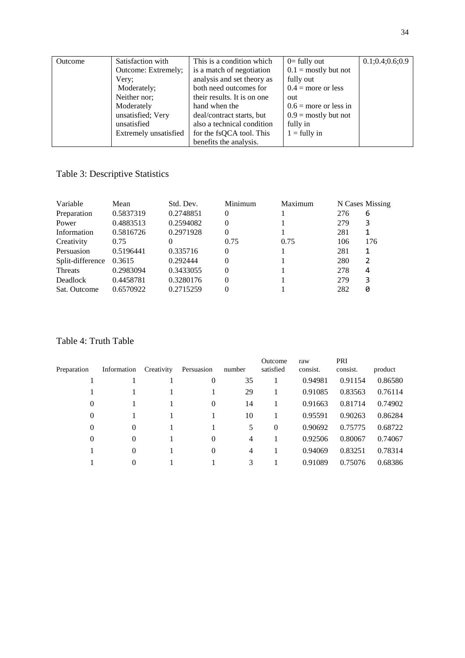| Outcome | Satisfaction with     | This is a condition which   | $0=$ fully out          | 0.1; 0.4; 0.6; 0.9 |
|---------|-----------------------|-----------------------------|-------------------------|--------------------|
|         | Outcome: Extremely;   | is a match of negotiation   | $0.1$ = mostly but not  |                    |
|         | Very;                 | analysis and set theory as  | fully out               |                    |
|         | Moderately;           | both need outcomes for      | $0.4$ = more or less    |                    |
|         | Neither nor;          | their results. It is on one | out                     |                    |
|         | Moderately            | hand when the               | $0.6$ = more or less in |                    |
|         | unsatisfied; Very     | deal/contract starts, but   | $0.9$ = mostly but not  |                    |
|         | unsatisfied           | also a technical condition  | fully in                |                    |
|         | Extremely unsatisfied | for the fsQCA tool. This    | $1 =$ fully in          |                    |
|         |                       | benefits the analysis.      |                         |                    |

## Table 3: Descriptive Statistics

| Variable         | Mean      | Std. Dev. | Minimum  | Maximum |     | N Cases Missing |
|------------------|-----------|-----------|----------|---------|-----|-----------------|
| Preparation      | 0.5837319 | 0.2748851 | $\Omega$ |         | 276 | 6               |
| Power            | 0.4883513 | 0.2594082 | $\Omega$ |         | 279 | 3               |
| Information      | 0.5816726 | 0.2971928 | $\Omega$ |         | 281 |                 |
| Creativity       | 0.75      | 0         | 0.75     | 0.75    | 106 | 176             |
| Persuasion       | 0.5196441 | 0.335716  | $\Omega$ |         | 281 | 1               |
| Split-difference | 0.3615    | 0.292444  | $\Omega$ |         | 280 | 2               |
| Threats          | 0.2983094 | 0.3433055 | $\Omega$ |         | 278 | 4               |
| Deadlock         | 0.4458781 | 0.3280176 | $\Omega$ |         | 279 | 3               |
| Sat. Outcome     | 0.6570922 | 0.2715259 | 0        |         | 282 | 0               |

## Table 4: Truth Table

| Preparation | Information | Creativity | Persuasion | number         | Outcome<br>satisfied | raw<br>consist. | PRI<br>consist. | product |
|-------------|-------------|------------|------------|----------------|----------------------|-----------------|-----------------|---------|
|             |             |            | $\theta$   | 35             |                      | 0.94981         | 0.91154         | 0.86580 |
|             |             |            |            | 29             |                      | 0.91085         | 0.83563         | 0.76114 |
| 0           |             |            | $\theta$   | 14             |                      | 0.91663         | 0.81714         | 0.74902 |
| 0           |             |            |            | 10             |                      | 0.95591         | 0.90263         | 0.86284 |
| $\theta$    | $\theta$    |            |            | 5              | $\mathbf{0}$         | 0.90692         | 0.75775         | 0.68722 |
| $\theta$    | $\theta$    |            | $\theta$   | $\overline{4}$ |                      | 0.92506         | 0.80067         | 0.74067 |
|             | $\theta$    |            | $\theta$   | $\overline{4}$ |                      | 0.94069         | 0.83251         | 0.78314 |
|             | $\theta$    |            |            | 3              |                      | 0.91089         | 0.75076         | 0.68386 |
|             |             |            |            |                |                      |                 |                 |         |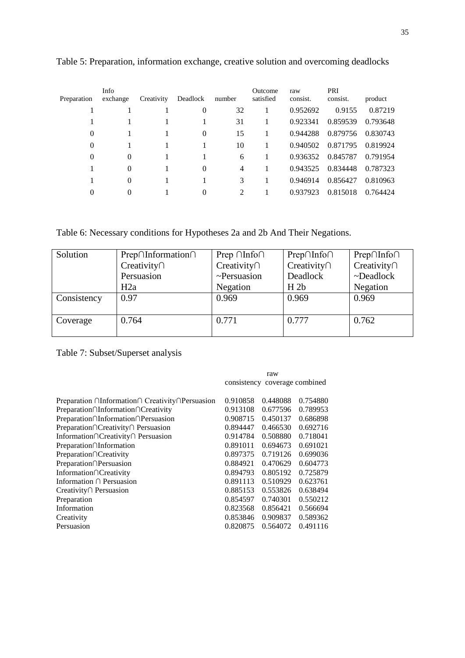| Preparation    | Info<br>exchange | Creativity | Deadlock | number | Outcome<br>satisfied | raw<br>consist. | PRI<br>consist. | product  |
|----------------|------------------|------------|----------|--------|----------------------|-----------------|-----------------|----------|
|                |                  |            | $\theta$ | 32     | 1                    | 0.952692        | 0.9155          | 0.87219  |
|                |                  |            |          | 31     |                      | 0.923341        | 0.859539        | 0.793648 |
| 0              |                  |            | $\theta$ | 15     | 1                    | 0.944288        | 0.879756        | 0.830743 |
| $\overline{0}$ |                  |            |          | 10     |                      | 0.940502        | 0.871795        | 0.819924 |
| $\theta$       | $\Omega$         |            |          | 6      |                      | 0.936352        | 0.845787        | 0.791954 |
|                | $\Omega$         |            | $\Omega$ | 4      |                      | 0.943525        | 0.834448        | 0.787323 |
|                | $\Omega$         |            |          | 3      |                      | 0.946914        | 0.856427        | 0.810963 |
| 0              | 0                |            | $\Omega$ | 2      |                      | 0.937923        | 0.815018        | 0.764424 |

Table 5: Preparation, information exchange, creative solution and overcoming deadlocks

Table 6: Necessary conditions for Hypotheses 2a and 2b And Their Negations.

| Solution    | $Prep\cap Information\cap$ | Prep $\cap$ Info $\cap$ | $Prep\cap Info\cap$ | Prep∩Info∩        |
|-------------|----------------------------|-------------------------|---------------------|-------------------|
|             | $Creativity\cap$           | $Creativity\cap$        | $Creativity\cap$    | Creativity $\cap$ |
|             | Persuasion                 | $\sim$ Persuasion       | Deadlock            | $\neg$ Deadlock   |
|             | H2a                        | Negation                | H <sub>2b</sub>     | Negation          |
| Consistency | 0.97                       | 0.969                   | 0.969               | 0.969             |
|             |                            |                         |                     |                   |
| Coverage    | 0.764                      | 0.771                   | 0.777               | 0.762             |
|             |                            |                         |                     |                   |

Table 7: Subset/Superset analysis

|                                                                    |          | raw                           |          |
|--------------------------------------------------------------------|----------|-------------------------------|----------|
|                                                                    |          | consistency coverage combined |          |
| Preparation $\cap$ Information $\cap$ Creativity $\cap$ Persuasion | 0.910858 | 0.448088                      | 0.754880 |
| Preparation∩Information∩Creativity                                 | 0.913108 | 0.677596                      | 0.789953 |
| Preparation∩Information∩Persuasion                                 | 0.908715 | 0.450137                      | 0.686898 |
| Preparation∩Creativity∩ Persuasion                                 | 0.894447 | 0.466530                      | 0.692716 |
| Information∩Creativity∩ Persuasion                                 | 0.914784 | 0.508880                      | 0.718041 |
| Preparation∩Information                                            | 0.891011 | 0.694673                      | 0.691021 |
| Preparation∩Creativity                                             | 0.897375 | 0.719126                      | 0.699036 |
| Preparation∩Persuasion                                             | 0.884921 | 0.470629                      | 0.604773 |
| Information∩Creativity                                             | 0.894793 | 0.805192                      | 0.725879 |
| Information $\cap$ Persuasion                                      | 0.891113 | 0.510929                      | 0.623761 |
| Creativity $\cap$ Persuasion                                       | 0.885153 | 0.553826                      | 0.638494 |
| Preparation                                                        | 0.854597 | 0.740301                      | 0.550212 |
| Information                                                        | 0.823568 | 0.856421                      | 0.566694 |
| Creativity                                                         | 0.853846 | 0.909837                      | 0.589362 |
| Persuasion                                                         | 0.820875 | 0.564072                      | 0.491116 |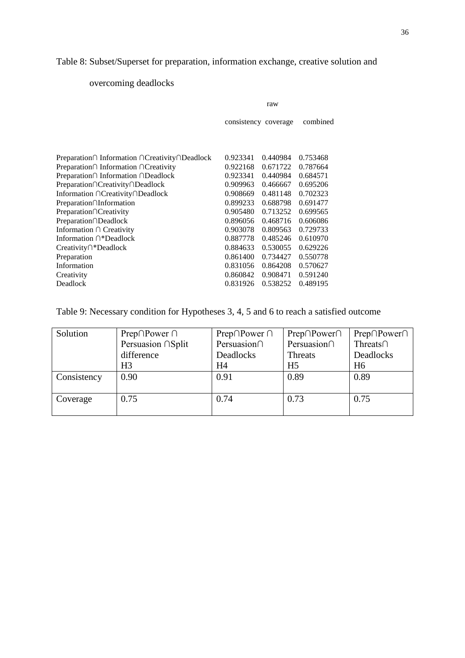# Table 8: Subset/Superset for preparation, information exchange, creative solution and

# overcoming deadlocks

|                                               |          | raw                  |          |  |
|-----------------------------------------------|----------|----------------------|----------|--|
|                                               |          | consistency coverage |          |  |
|                                               |          |                      |          |  |
| Preparation∩ Information ∩Creativity∩Deadlock | 0.923341 | 0.440984             | 0.753468 |  |
| Preparation∩ Information ∩Creativity          | 0.922168 | 0.671722             | 0.787664 |  |
| Preparation∩ Information ∩Deadlock            | 0.923341 | 0.440984             | 0.684571 |  |
| Preparation∩Creativity∩Deadlock               | 0.909963 | 0.466667             | 0.695206 |  |
| Information ∩Creativity∩Deadlock              | 0.908669 | 0.481148             | 0.702323 |  |
| Preparation∩Information                       | 0.899233 | 0.688798             | 0.691477 |  |
| Preparation∩Creativity                        | 0.905480 | 0.713252             | 0.699565 |  |
| Preparation∩Deadlock                          | 0.896056 | 0.468716             | 0.606086 |  |
| Information ∩ Creativity                      | 0.903078 | 0.809563             | 0.729733 |  |
| Information ∩*Deadlock                        | 0.887778 | 0.485246             | 0.610970 |  |
| Creativity∩*Deadlock                          | 0.884633 | 0.530055             | 0.629226 |  |
| Preparation                                   | 0.861400 | 0.734427             | 0.550778 |  |
| Information                                   | 0.831056 | 0.864208             | 0.570627 |  |
| Creativity                                    | 0.860842 | 0.908471             | 0.591240 |  |
| Deadlock                                      | 0.831926 | 0.538252             | 0.489195 |  |
|                                               |          |                      |          |  |

## Table 9: Necessary condition for Hypotheses 3, 4, 5 and 6 to reach a satisfied outcome

| Solution    | Prep $\cap$ Power $\cap$ | Prep $\cap$ Power $\cap$ | $Prep \cap Power \cap$ | Prep∩Power∩    |
|-------------|--------------------------|--------------------------|------------------------|----------------|
|             | Persuasion ∩Split        | Persuasion∩              | Persuasion∩            | Threats $\cap$ |
|             | difference               | Deadlocks                | Threats                | Deadlocks      |
|             | H <sub>3</sub>           | H <sub>4</sub>           | H <sub>5</sub>         | H <sub>6</sub> |
| Consistency | 0.90                     | 0.91                     | 0.89                   | 0.89           |
|             |                          |                          |                        |                |
| Coverage    | 0.75                     | 0.74                     | 0.73                   | 0.75           |
|             |                          |                          |                        |                |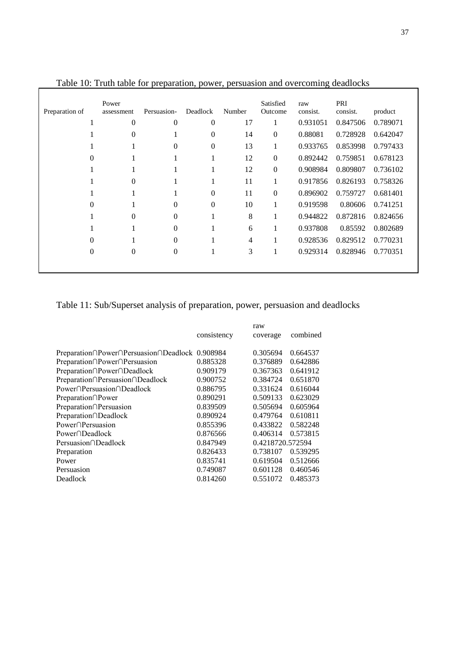|                | Tuble To. Truth tuble for preparation, power, persuasion and overcoming deathoeks |                |                  |                |                      |                 |                 |          |
|----------------|-----------------------------------------------------------------------------------|----------------|------------------|----------------|----------------------|-----------------|-----------------|----------|
| Preparation of | Power<br>assessment                                                               | Persuasion-    | Deadlock         | Number         | Satisfied<br>Outcome | raw<br>consist. | PRI<br>consist. | product  |
|                | $\Omega$                                                                          | $\Omega$       | $\mathbf{0}$     | 17             | 1                    | 0.931051        | 0.847506        | 0.789071 |
|                | $\theta$                                                                          |                | $\theta$         | 14             | $\boldsymbol{0}$     | 0.88081         | 0.728928        | 0.642047 |
|                |                                                                                   | $\Omega$       | $\boldsymbol{0}$ | 13             | 1                    | 0.933765        | 0.853998        | 0.797433 |
| 0              |                                                                                   |                |                  | 12             | $\mathbf{0}$         | 0.892442        | 0.759851        | 0.678123 |
|                |                                                                                   |                |                  | 12             | $\boldsymbol{0}$     | 0.908984        | 0.809807        | 0.736102 |
|                | $\overline{0}$                                                                    |                | 1                | 11             | 1                    | 0.917856        | 0.826193        | 0.758326 |
|                |                                                                                   |                | $\mathbf{0}$     | 11             | $\mathbf{0}$         | 0.896902        | 0.759727        | 0.681401 |
| $\theta$       |                                                                                   | $\Omega$       | $\mathbf{0}$     | 10             | $\mathbf{1}$         | 0.919598        | 0.80606         | 0.741251 |
|                | $\Omega$                                                                          | $\Omega$       |                  | 8              | 1                    | 0.944822        | 0.872816        | 0.824656 |
|                |                                                                                   | $\Omega$       |                  | 6              | 1                    | 0.937808        | 0.85592         | 0.802689 |
| $\Omega$       |                                                                                   | $\Omega$       |                  | $\overline{4}$ | 1                    | 0.928536        | 0.829512        | 0.770231 |
| $\mathbf{0}$   | $\overline{0}$                                                                    | $\overline{0}$ |                  | 3              | $\mathbf{1}$         | 0.929314        | 0.828946        | 0.770351 |
|                |                                                                                   |                |                  |                |                      |                 |                 |          |

Table 10: Truth table for preparation, power, persuasion and overcoming deadlocks

 $\mathbf{r}$ 

# Table 11: Sub/Superset analysis of preparation, power, persuasion and deadlocks

|                                                |             | raw              |          |
|------------------------------------------------|-------------|------------------|----------|
|                                                | consistency | coverage         | combined |
| Preparation∩Power∩Persuasion∩Deadlock 0.908984 |             | 0.305694         | 0.664537 |
| Preparation∩Power∩Persuasion                   | 0.885328    | 0.376889         | 0.642886 |
| Preparation∩Power∩Deadlock                     | 0.909179    | 0.367363         | 0.641912 |
| Preparation∩Persuasion∩Deadlock                | 0.900752    | 0.384724         | 0.651870 |
| Power∩Persuasion∩Deadlock                      | 0.886795    | 0.331624         | 0.616044 |
| Preparation∩Power                              | 0.890291    | 0.509133         | 0.623029 |
| Preparation∩Persuasion                         | 0.839509    | 0.505694         | 0.605964 |
| Preparation∩Deadlock                           | 0.890924    | 0.479764         | 0.610811 |
| Power∩Persuasion                               | 0.855396    | 0.433822         | 0.582248 |
| Power∩Deadlock                                 | 0.876566    | 0.406314         | 0.573815 |
| Persuasion∩Deadlock                            | 0.847949    | 0.4218720.572594 |          |
| Preparation                                    | 0.826433    | 0.738107         | 0.539295 |
| Power                                          | 0.835741    | 0.619504         | 0.512666 |
| Persuasion                                     | 0.749087    | 0.601128         | 0.460546 |
| Deadlock                                       | 0.814260    | 0.551072         | 0.485373 |
|                                                |             |                  |          |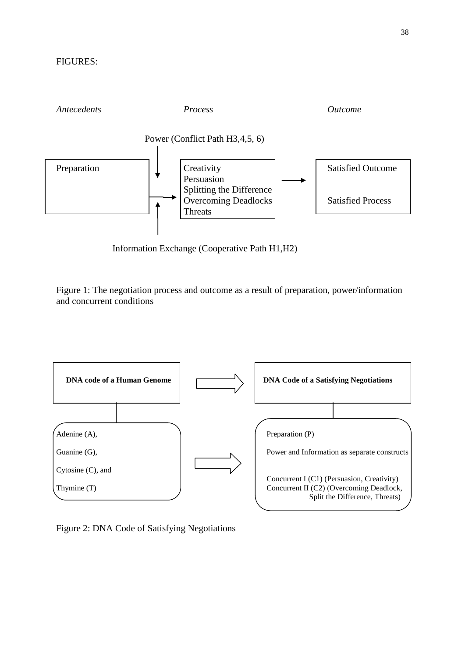

Information Exchange (Cooperative Path H1,H2)

Figure 1: The negotiation process and outcome as a result of preparation, power/information and concurrent conditions



Figure 2: DNA Code of Satisfying Negotiations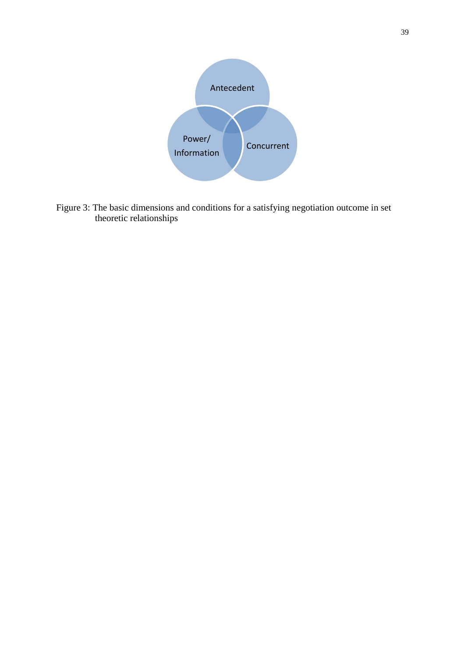

Figure 3: The basic dimensions and conditions for a satisfying negotiation outcome in set theoretic relationships